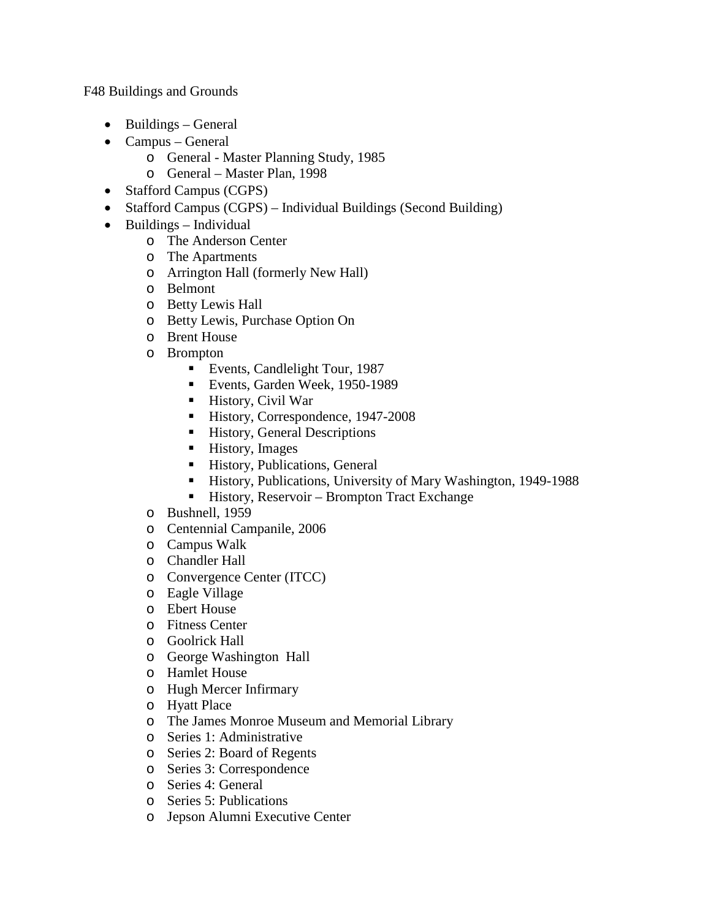F48 Buildings and Grounds

- Buildings General
- Campus General
	- o General Master Planning Study, 1985
	- o General Master Plan, 1998
- Stafford Campus (CGPS)
- Stafford Campus (CGPS) Individual Buildings (Second Building)
- Buildings Individual
	- o The Anderson Center
	- o The Apartments
	- o Arrington Hall (formerly New Hall)
	- o Belmont
	- o Betty Lewis Hall
	- o Betty Lewis, Purchase Option On
	- o Brent House
	- o Brompton
		- **Events, Candlelight Tour, 1987**
		- Events, Garden Week, 1950-1989
		- History, Civil War
		- History, Correspondence, 1947-2008
		- **History, General Descriptions**
		- **History**, Images
		- **History, Publications, General**
		- History, Publications, University of Mary Washington, 1949-1988
		- History, Reservoir Brompton Tract Exchange
	- o Bushnell, 1959
	- o Centennial Campanile, 2006
	- o Campus Walk
	- o Chandler Hall
	- o Convergence Center (ITCC)
	- o Eagle Village
	- o Ebert House
	- o Fitness Center
	- o Goolrick Hall
	- o George Washington Hall
	- o Hamlet House
	- o Hugh Mercer Infirmary
	- o Hyatt Place
	- o The James Monroe Museum and Memorial Library
	- o Series 1: Administrative
	- o Series 2: Board of Regents
	- o Series 3: Correspondence
	- o Series 4: General
	- o Series 5: Publications
	- o Jepson Alumni Executive Center